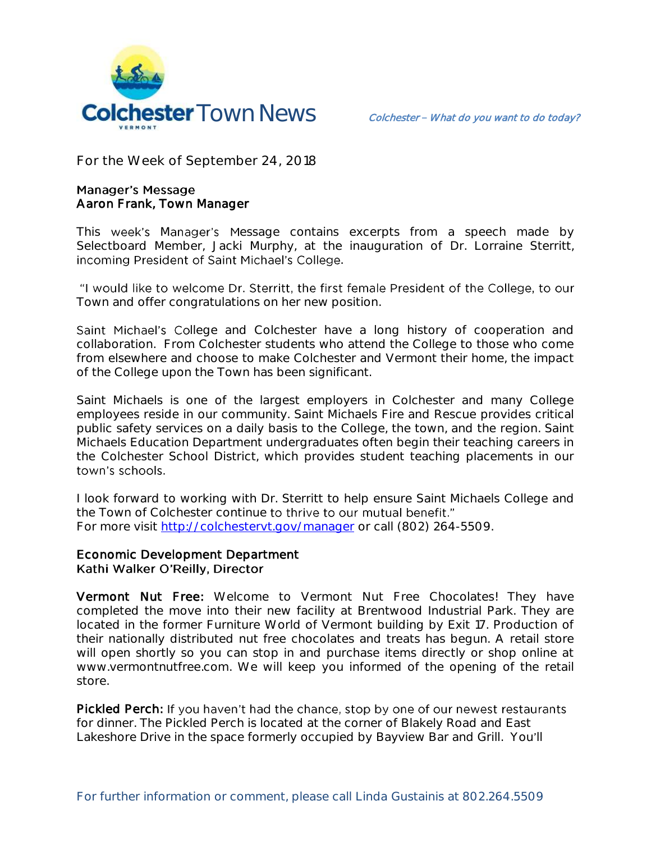

**For the Week of September 24, 2018**

## **Manager's Message** Aaron Frank, Town Manager

This week's Manager's Message contains excerpts from a speech made by Selectboard Member, Jacki Murphy, at the inauguration of Dr. Lorraine Sterritt, incoming President of Saint Michael's College.

"I would like to welcome Dr. Sterritt, the first female President of the College, to our Town and offer congratulations on her new position.

Saint Michael's College and Colchester have a long history of cooperation and collaboration. From Colchester students who attend the College to those who come from elsewhere and choose to make Colchester and Vermont their home, the impact of the College upon the Town has been significant.

Saint Michaels is one of the largest employers in Colchester and many College employees reside in our community. Saint Michaels Fire and Rescue provides critical public safety services on a daily basis to the College, the town, and the region. Saint Michaels Education Department undergraduates often begin their teaching careers in the Colchester School District, which provides student teaching placements in our town's schools.

I look forward to working with Dr. Sterritt to help ensure Saint Michaels College and the Town of Colchester continue to thrive to our mutual benefit." For more visit<http://colchestervt.gov/manager> or call (802) 264-5509.

## Economic Development Department Kathi Walker O'Reilly, Director

Vermont Nut Free: Welcome to Vermont Nut Free Chocolates! They have completed the move into their new facility at Brentwood Industrial Park. They are located in the former Furniture World of Vermont building by Exit 17. Production of their nationally distributed nut free chocolates and treats has begun. A retail store will open shortly so you can stop in and purchase items directly or shop online at www.vermontnutfree.com. We will keep you informed of the opening of the retail store.

Pickled Perch: If you haven't had the chance, stop by one of our newest restaurants for dinner. The Pickled Perch is located at the corner of Blakely Road and East Lakeshore Drive in the space formerly occupied by Bayview Bar and Grill. You'll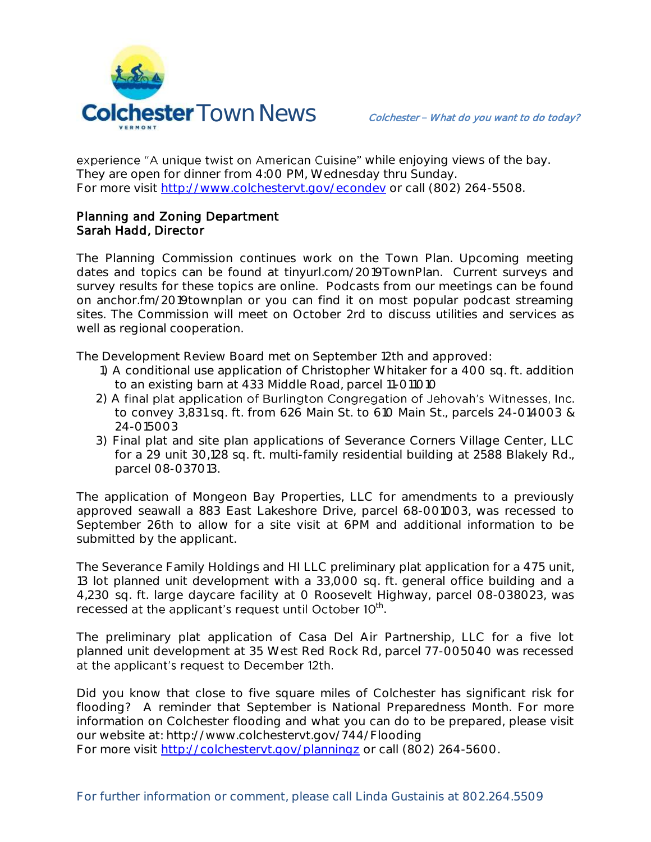

experience "A unique twist on American Cuisine" while enjoying views of the bay. They are open for dinner from 4:00 PM, Wednesday thru Sunday. For more visit [http://www.colchestervt.gov/e](http://www.colchestervt.gov/)condev or call (802) 264-5508.

## Planning and Zoning Department Sarah Hadd, Director

The Planning Commission continues work on the Town Plan. Upcoming meeting dates and topics can be found at tinyurl.com/2019TownPlan. Current surveys and survey results for these topics are online. Podcasts from our meetings can be found on anchor.fm/2019townplan or you can find it on most popular podcast streaming sites. The Commission will meet on October 2rd to discuss utilities and services as well as regional cooperation.

The Development Review Board met on September 12th and approved:

- 1) A conditional use application of Christopher Whitaker for a 400 sq. ft. addition to an existing barn at 433 Middle Road, parcel 11-011010
- 2) A final plat application of Burlington Congregation of Jehovah's Witnesses, Inc. to convey 3,831 sq. ft. from 626 Main St. to 610 Main St., parcels 24-014003 & 24-015003
- 3) Final plat and site plan applications of Severance Corners Village Center, LLC for a 29 unit 30,128 sq. ft. multi-family residential building at 2588 Blakely Rd., parcel 08-037013.

The application of Mongeon Bay Properties, LLC for amendments to a previously approved seawall a 883 East Lakeshore Drive, parcel 68-001003, was recessed to September 26th to allow for a site visit at 6PM and additional information to be submitted by the applicant.

The Severance Family Holdings and HI LLC preliminary plat application for a 475 unit, 13 lot planned unit development with a 33,000 sq. ft. general office building and a 4,230 sq. ft. large daycare facility at 0 Roosevelt Highway, parcel 08-038023, was recessed at the applicant's request until October 10<sup>th</sup>.

The preliminary plat application of Casa Del Air Partnership, LLC for a five lot planned unit development at 35 West Red Rock Rd, parcel 77-005040 was recessed at the applicant's request to December 12th.

Did you know that close to five square miles of Colchester has significant risk for flooding? A reminder that September is National Preparedness Month. For more information on Colchester flooding and what you can do to be prepared, please visit our website at: http://www.colchestervt.gov/744/Flooding

For more visit<http://colchestervt.gov/planningz> or call (802) 264-5600.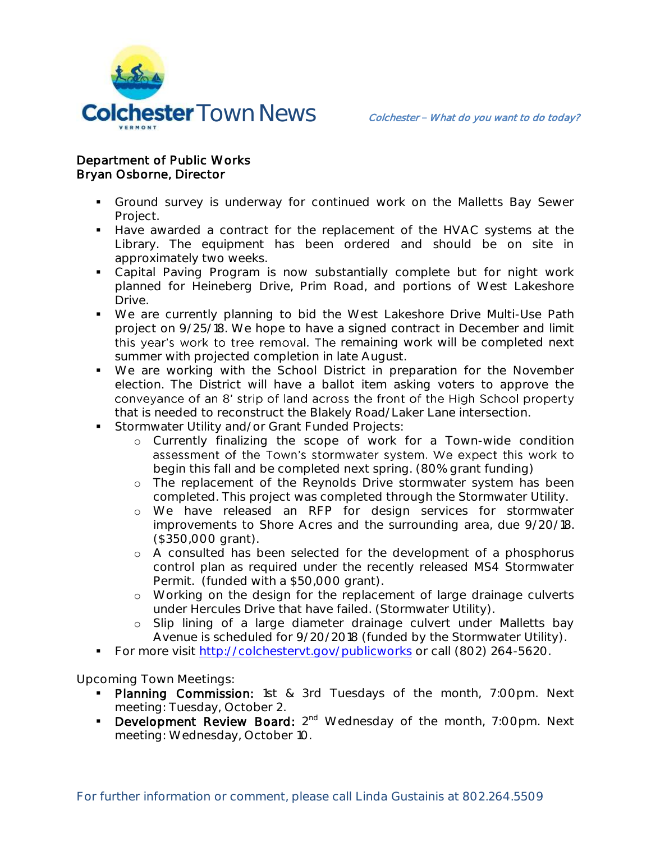

## Department of Public Works Bryan Osborne, Director

- Ground survey is underway for continued work on the Malletts Bay Sewer Project.
- Have awarded a contract for the replacement of the HVAC systems at the Library. The equipment has been ordered and should be on site in approximately two weeks.
- Capital Paving Program is now substantially complete but for night work planned for Heineberg Drive, Prim Road, and portions of West Lakeshore Drive.
- We are currently planning to bid the West Lakeshore Drive Multi-Use Path project on 9/25/18. We hope to have a signed contract in December and limit this year's work to tree removal. The remaining work will be completed next summer with projected completion in late August.
- We are working with the School District in preparation for the November election. The District will have a ballot item asking voters to approve the conveyance of an 8' strip of land across the front of the High School property that is needed to reconstruct the Blakely Road/Laker Lane intersection.
- **Stormwater Utility and/or Grant Funded Projects:** 
	- o Currently finalizing the scope of work for a Town-wide condition assessment of the Town's stormwater system. We expect this work to begin this fall and be completed next spring. (80% grant funding)
	- o The replacement of the Reynolds Drive stormwater system has been completed. This project was completed through the Stormwater Utility.
	- o We have released an RFP for design services for stormwater improvements to Shore Acres and the surrounding area, due 9/20/18. (\$350,000 grant).
	- o A consulted has been selected for the development of a phosphorus control plan as required under the recently released MS4 Stormwater Permit. (funded with a \$50,000 grant).
	- o Working on the design for the replacement of large drainage culverts under Hercules Drive that have failed. (Stormwater Utility).
	- o Slip lining of a large diameter drainage culvert under Malletts bay Avenue is scheduled for 9/20/2018 (funded by the Stormwater Utility).
- For more visit<http://colchestervt.gov/publicworks> or call (802) 264-5620.

**Upcoming Town Meetings:** 

- Planning Commission: 1st & 3rd Tuesdays of the month, 7:00pm. Next meeting: Tuesday, October 2.
- **Development Review Board:**  $2^{nd}$  Wednesday of the month, 7:00pm. Next meeting: Wednesday, October 10.